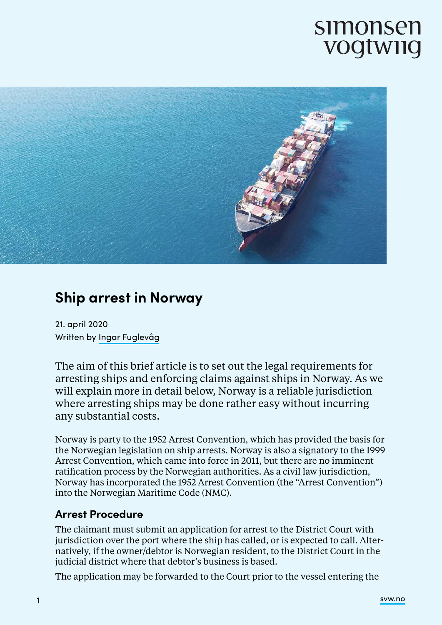# simonsen vogtwiig



# **Ship arrest in Norway**

21. april 2020 Written by Ingar Fuglevåg

The aim of this brief article is to set out the legal requirements for arresting ships and enforcing claims against ships in Norway. As we will explain more in detail below, Norway is a reliable jurisdiction where arresting ships may be done rather easy without incurring any substantial costs.

Norway is party to the 1952 Arrest Convention, which has provided the basis for the Norwegian legislation on ship arrests. Norway is also a signatory to the 1999 Arrest Convention, which came into force in 2011, but there are no imminent ratification process by the Norwegian authorities. As a civil law jurisdiction, Norway has incorporated the 1952 Arrest Convention (the "Arrest Convention") into the Norwegian Maritime Code (NMC).

#### **Arrest Procedure**

The claimant must submit an application for arrest to the District Court with jurisdiction over the port where the ship has called, or is expected to call. Alternatively, if the owner/debtor is Norwegian resident, to the District Court in the judicial district where that debtor's business is based.

The application may be forwarded to the Court prior to the vessel entering the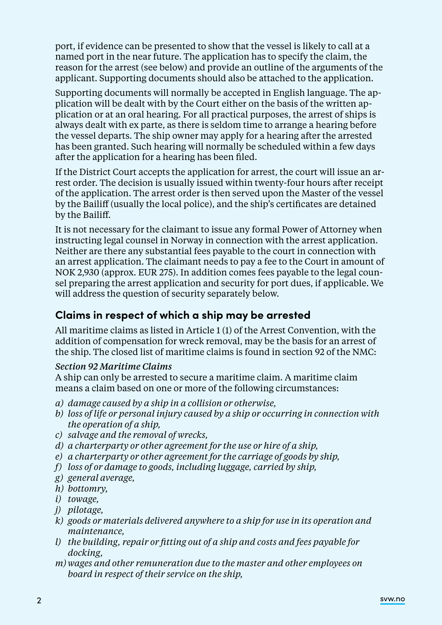port, if evidence can be presented to show that the vessel is likely to call at a named port in the near future. The application has to specify the claim, the reason for the arrest (see below) and provide an outline of the arguments of the applicant. Supporting documents should also be attached to the application.

Supporting documents will normally be accepted in English language. The application will be dealt with by the Court either on the basis of the written application or at an oral hearing. For all practical purposes, the arrest of ships is always dealt with ex parte, as there is seldom time to arrange a hearing before the vessel departs. The ship owner may apply for a hearing after the arrested has been granted. Such hearing will normally be scheduled within a few days after the application for a hearing has been filed.

If the District Court accepts the application for arrest, the court will issue an arrest order. The decision is usually issued within twenty-four hours after receipt of the application. The arrest order is then served upon the Master of the vessel by the Bailiff (usually the local police), and the ship's certificates are detained by the Bailiff.

It is not necessary for the claimant to issue any formal Power of Attorney when instructing legal counsel in Norway in connection with the arrest application. Neither are there any substantial fees payable to the court in connection with an arrest application. The claimant needs to pay a fee to the Court in amount of NOK 2,930 (approx. EUR 275). In addition comes fees payable to the legal counsel preparing the arrest application and security for port dues, if applicable. We will address the question of security separately below.

# **Claims in respect of which a ship may be arrested**

All maritime claims as listed in Article 1 (1) of the Arrest Convention, with the addition of compensation for wreck removal, may be the basis for an arrest of the ship. The closed list of maritime claims is found in section 92 of the NMC:

#### *Section 92 Maritime Claims*

A ship can only be arrested to secure a maritime claim. A maritime claim means a claim based on one or more of the following circumstances:

- *a) damage caused by a ship in a collision or otherwise,*
- *b) loss of life or personal injury caused by a ship or occurring in connection with the operation of a ship,*
- *c) salvage and the removal of wrecks,*
- *d) a charterparty or other agreement for the use or hire of a ship,*
- *e) a charterparty or other agreement for the carriage of goods by ship,*
- *f) loss of or damage to goods, including luggage, carried by ship,*
- *g) general average,*
- *h) bottomry,*
- *i) towage,*
- *j) pilotage,*
- *k) goods or materials delivered anywhere to a ship for use in its operation and maintenance,*
- *l) the building, repair or fitting out of a ship and costs and fees payable for docking,*
- *m) wages and other remuneration due to the master and other employees on board in respect of their service on the ship,*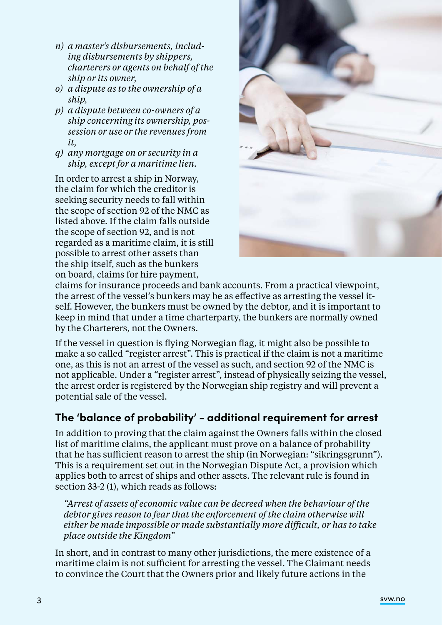- *n) a master's disbursements, including disbursements by shippers, charterers or agents on behalf of the ship or its owner,*
- *o) a dispute as to the ownership of a ship,*
- *p) a dispute between co-owners of a ship concerning its ownership, possession or use or the revenues from it,*
- *q) any mortgage on or security in a ship, except for a maritime lien.*

In order to arrest a ship in Norway, the claim for which the creditor is seeking security needs to fall within the scope of section 92 of the NMC as listed above. If the claim falls outside the scope of section 92, and is not regarded as a maritime claim, it is still possible to arrest other assets than the ship itself, such as the bunkers on board, claims for hire payment,



claims for insurance proceeds and bank accounts. From a practical viewpoint, the arrest of the vessel's bunkers may be as effective as arresting the vessel itself. However, the bunkers must be owned by the debtor, and it is important to keep in mind that under a time charterparty, the bunkers are normally owned by the Charterers, not the Owners.

If the vessel in question is flying Norwegian flag, it might also be possible to make a so called "register arrest". This is practical if the claim is not a maritime one, as this is not an arrest of the vessel as such, and section 92 of the NMC is not applicable. Under a "register arrest", instead of physically seizing the vessel, the arrest order is registered by the Norwegian ship registry and will prevent a potential sale of the vessel.

# **The 'balance of probability' - additional requirement for arrest**

In addition to proving that the claim against the Owners falls within the closed list of maritime claims, the applicant must prove on a balance of probability that he has sufficient reason to arrest the ship (in Norwegian: "sikringsgrunn"). This is a requirement set out in the Norwegian Dispute Act, a provision which applies both to arrest of ships and other assets. The relevant rule is found in section 33-2 (1), which reads as follows:

*"Arrest of assets of economic value can be decreed when the behaviour of the debtor gives reason to fear that the enforcement of the claim otherwise will either be made impossible or made substantially more difficult, or has to take place outside the Kingdom"* 

In short, and in contrast to many other jurisdictions, the mere existence of a maritime claim is not sufficient for arresting the vessel. The Claimant needs to convince the Court that the Owners prior and likely future actions in the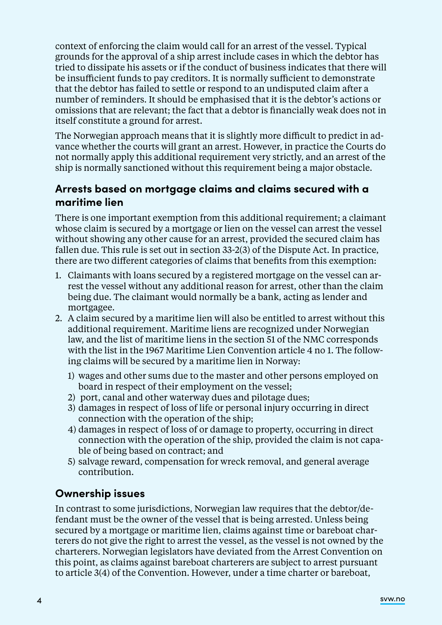context of enforcing the claim would call for an arrest of the vessel. Typical grounds for the approval of a ship arrest include cases in which the debtor has tried to dissipate his assets or if the conduct of business indicates that there will be insufficient funds to pay creditors. It is normally sufficient to demonstrate that the debtor has failed to settle or respond to an undisputed claim after a number of reminders. It should be emphasised that it is the debtor's actions or omissions that are relevant; the fact that a debtor is financially weak does not in itself constitute a ground for arrest.

The Norwegian approach means that it is slightly more difficult to predict in advance whether the courts will grant an arrest. However, in practice the Courts do not normally apply this additional requirement very strictly, and an arrest of the ship is normally sanctioned without this requirement being a major obstacle.

### **Arrests based on mortgage claims and claims secured with a maritime lien**

There is one important exemption from this additional requirement; a claimant whose claim is secured by a mortgage or lien on the vessel can arrest the vessel without showing any other cause for an arrest, provided the secured claim has fallen due. This rule is set out in section 33-2(3) of the Dispute Act. In practice, there are two different categories of claims that benefits from this exemption:

- 1. Claimants with loans secured by a registered mortgage on the vessel can arrest the vessel without any additional reason for arrest, other than the claim being due. The claimant would normally be a bank, acting as lender and mortgagee.
- 2. A claim secured by a maritime lien will also be entitled to arrest without this additional requirement. Maritime liens are recognized under Norwegian law, and the list of maritime liens in the section 51 of the NMC corresponds with the list in the 1967 Maritime Lien Convention article 4 no 1. The following claims will be secured by a maritime lien in Norway:
	- 1) wages and other sums due to the master and other persons employed on board in respect of their employment on the vessel;
	- 2) port, canal and other waterway dues and pilotage dues;
	- 3) damages in respect of loss of life or personal injury occurring in direct connection with the operation of the ship;
	- 4) damages in respect of loss of or damage to property, occurring in direct connection with the operation of the ship, provided the claim is not capable of being based on contract; and
	- 5) salvage reward, compensation for wreck removal, and general average contribution.

#### **Ownership issues**

In contrast to some jurisdictions, Norwegian law requires that the debtor/defendant must be the owner of the vessel that is being arrested. Unless being secured by a mortgage or maritime lien, claims against time or bareboat charterers do not give the right to arrest the vessel, as the vessel is not owned by the charterers. Norwegian legislators have deviated from the Arrest Convention on this point, as claims against bareboat charterers are subject to arrest pursuant to article 3(4) of the Convention. However, under a time charter or bareboat,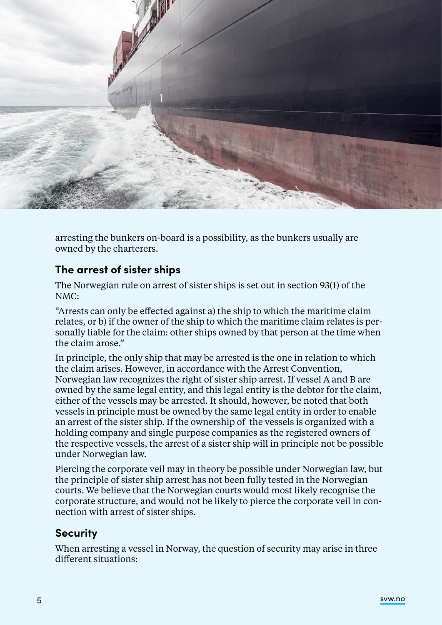

arresting the bunkers on-board is a possibility, as the bunkers usually are owned by the charterers.

#### **The arrest of sister ships**

The Norwegian rule on arrest of sister ships is set out in section 93(1) of the NMC:

"Arrests can only be effected against a) the ship to which the maritime claim relates, or b) if the owner of the ship to which the maritime claim relates is personally liable for the claim: other ships owned by that person at the time when the claim arose."

In principle, the only ship that may be arrested is the one in relation to which the claim arises. However, in accordance with the Arrest Convention, Norwegian law recognizes the right of sister ship arrest. If vessel A and B are owned by the same legal entity, and this legal entity is the debtor for the claim, either of the vessels may be arrested. It should, however, be noted that both vessels in principle must be owned by the same legal entity in order to enable an arrest of the sister ship. If the ownership of the vessels is organized with a holding company and single purpose companies as the registered owners of the respective vessels, the arrest of a sister ship will in principle not be possible under Norwegian law.

Piercing the corporate veil may in theory be possible under Norwegian law, but the principle of sister ship arrest has not been fully tested in the Norwegian courts. We believe that the Norwegian courts would most likely recognise the corporate structure, and would not be likely to pierce the corporate veil in connection with arrest of sister ships.

# **Security**

When arresting a vessel in Norway, the question of security may arise in three different situations: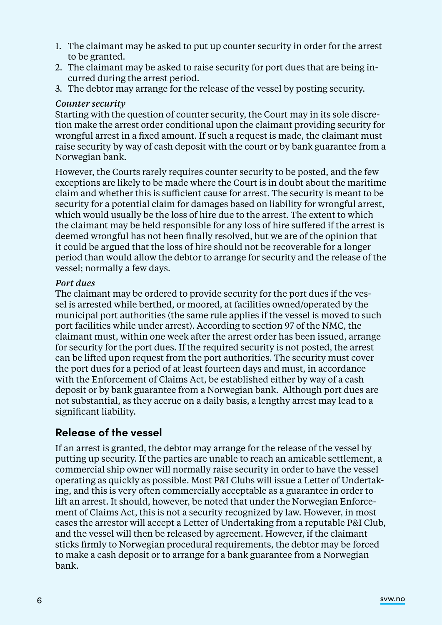- 1. The claimant may be asked to put up counter security in order for the arrest to be granted.
- 2. The claimant may be asked to raise security for port dues that are being incurred during the arrest period.
- 3. The debtor may arrange for the release of the vessel by posting security.

#### *Counter security*

Starting with the question of counter security, the Court may in its sole discretion make the arrest order conditional upon the claimant providing security for wrongful arrest in a fixed amount. If such a request is made, the claimant must raise security by way of cash deposit with the court or by bank guarantee from a Norwegian bank.

However, the Courts rarely requires counter security to be posted, and the few exceptions are likely to be made where the Court is in doubt about the maritime claim and whether this is sufficient cause for arrest. The security is meant to be security for a potential claim for damages based on liability for wrongful arrest, which would usually be the loss of hire due to the arrest. The extent to which the claimant may be held responsible for any loss of hire suffered if the arrest is deemed wrongful has not been finally resolved, but we are of the opinion that it could be argued that the loss of hire should not be recoverable for a longer period than would allow the debtor to arrange for security and the release of the vessel; normally a few days.

#### *Port dues*

The claimant may be ordered to provide security for the port dues if the vessel is arrested while berthed, or moored, at facilities owned/operated by the municipal port authorities (the same rule applies if the vessel is moved to such port facilities while under arrest). According to section 97 of the NMC, the claimant must, within one week after the arrest order has been issued, arrange for security for the port dues. If the required security is not posted, the arrest can be lifted upon request from the port authorities. The security must cover the port dues for a period of at least fourteen days and must, in accordance with the Enforcement of Claims Act, be established either by way of a cash deposit or by bank guarantee from a Norwegian bank. Although port dues are not substantial, as they accrue on a daily basis, a lengthy arrest may lead to a significant liability.

#### **Release of the vessel**

If an arrest is granted, the debtor may arrange for the release of the vessel by putting up security. If the parties are unable to reach an amicable settlement, a commercial ship owner will normally raise security in order to have the vessel operating as quickly as possible. Most P&I Clubs will issue a Letter of Undertaking, and this is very often commercially acceptable as a guarantee in order to lift an arrest. It should, however, be noted that under the Norwegian Enforcement of Claims Act, this is not a security recognized by law. However, in most cases the arrestor will accept a Letter of Undertaking from a reputable P&I Club, and the vessel will then be released by agreement. However, if the claimant sticks firmly to Norwegian procedural requirements, the debtor may be forced to make a cash deposit or to arrange for a bank guarantee from a Norwegian bank.